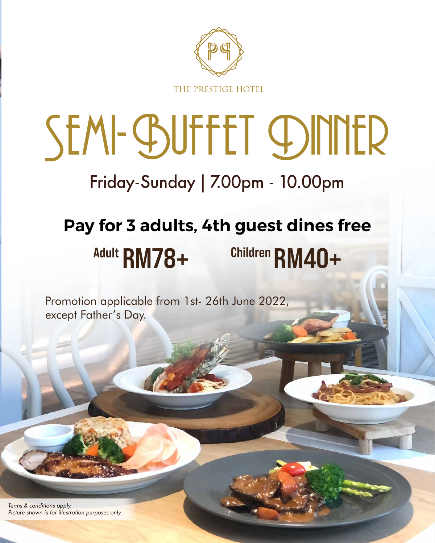

THE PRESTIGE HOTEL

*Terms & conditions apply. Picture shown is for illustration purposes only.*

# SEM-GSUFFET DINNER Friday-Sunday | 7.00pm - 10.00pm

Promotion applicable from 1st- 26th June 2022, except Father's Day.

## **Pay for 3 adults, 4th guest dines free RM78+ Adult RM40+ Children**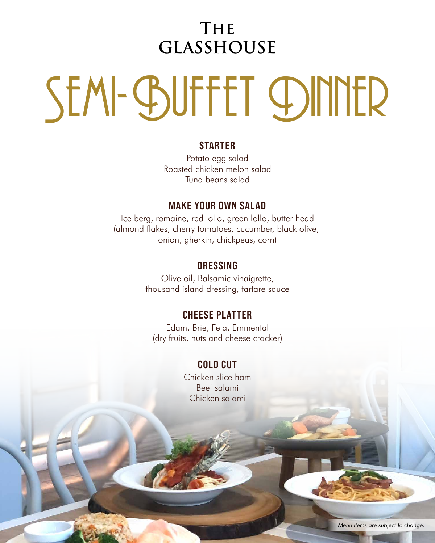*Menu items are subject to change.*

### **The GLASSHOUSE**

# SEM-GSUFFET CDINNER

#### **STARTER**

Potato egg salad Roasted chicken melon salad Tuna beans salad

#### **MAKE YOUR OWN SALAD**

Ice berg, romaine, red lollo, green lollo, butter head (almond flakes, cherry tomatoes, cucumber, black olive, onion, gherkin, chickpeas, corn)

#### **DRESSING**

 Olive oil, Balsamic vinaigrette, thousand island dressing, tartare sauce

#### **CHEESE PLATTER**

Edam, Brie, Feta, Emmental (dry fruits, nuts and cheese cracker)

**COLD CUT** Chicken slice ham Beef salami Chicken salami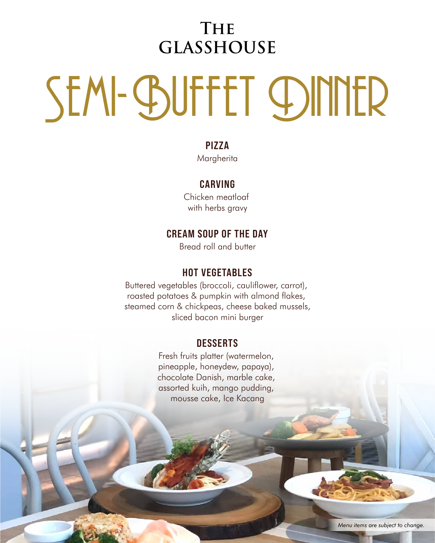*Menu items are subject to change.*

### **The GLASSHOUSE**

# SEM-GSUFFET CDINNER

#### **PIZZA**

Margherita

#### **CARVING**

Chicken meatloaf with herbs gravy

#### **HOT VEGETABLES**

Buttered vegetables (broccoli, cauliflower, carrot), roasted potatoes & pumpkin with almond flakes, steamed corn & chickpeas, cheese baked mussels, sliced bacon mini burger

#### **CREAM SOUP OF THE DAY**

Bread roll and butter

Fresh fruits platter (watermelon,

pineapple, honeydew, papaya), chocolate Danish, marble cake, assorted kuih, mango pudding, mousse cake, Ice Kacang

#### **DESSERTS**